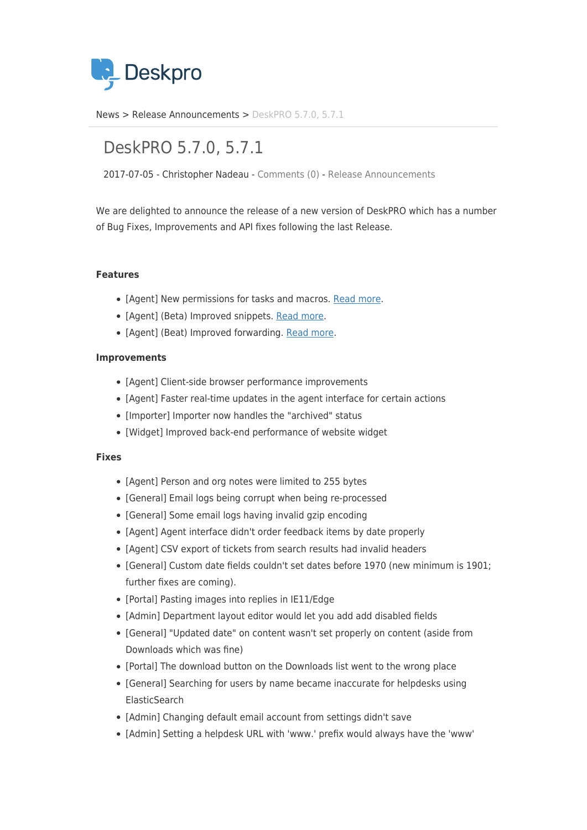

[News](https://support.deskpro.com/ro/news) > [Release Announcements](https://support.deskpro.com/ro/news/release-announcements) > [DeskPRO 5.7.0, 5.7.1](https://support.deskpro.com/ro/news/posts/deskpro-5-7-0-5-7-1)

## DeskPRO 5.7.0, 5.7.1

2017-07-05 - Christopher Nadeau - [Comments \(0\)](#page--1-0) - [Release Announcements](https://support.deskpro.com/ro/news/release-announcements)

We are delighted to announce the release of a new version of DeskPRO which has a number of Bug Fixes, Improvements and API fixes following the last Release.

## **Features**

- [Agent] New permissions for tasks and macros. [Read more](https://support.deskpro.com/en_GB/news/posts/permissions-for-tasks-and-macros).
- [Agent] (Beta) Improved snippets. [Read more](https://support.deskpro.com/en_GB/news/posts/new-snippets-interface).
- [Agent] (Beat) Improved forwarding. [Read more.](https://support.deskpro.com/en_GB/news/posts/full-ticket-forwarding)

## **Improvements**

- [Agent] Client-side browser performance improvements
- [Agent] Faster real-time updates in the agent interface for certain actions
- [Importer] Importer now handles the "archived" status
- [Widget] Improved back-end performance of website widget

## **Fixes**

- [Agent] Person and org notes were limited to 255 bytes
- [General] Email logs being corrupt when being re-processed
- [General] Some email logs having invalid gzip encoding
- [Agent] Agent interface didn't order feedback items by date properly
- [Agent] CSV export of tickets from search results had invalid headers
- [General] Custom date fields couldn't set dates before 1970 (new minimum is 1901; further fixes are coming).
- [Portal] Pasting images into replies in IE11/Edge
- [Admin] Department layout editor would let you add add disabled fields
- [General] "Updated date" on content wasn't set properly on content (aside from Downloads which was fine)
- [Portal] The download button on the Downloads list went to the wrong place
- [General] Searching for users by name became inaccurate for helpdesks using **ElasticSearch**
- [Admin] Changing default email account from settings didn't save
- [Admin] Setting a helpdesk URL with 'www.' prefix would always have the 'www'